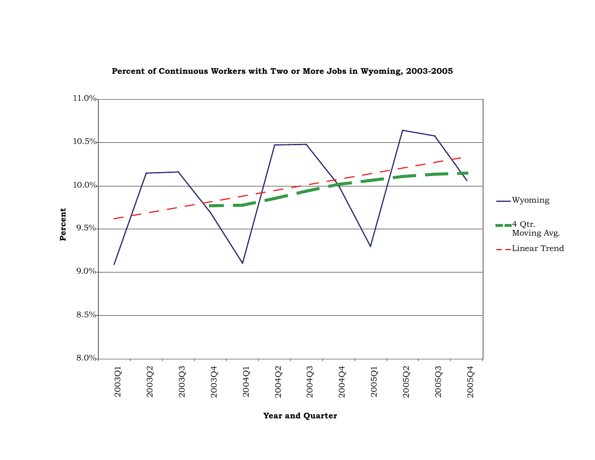

**Percent of Continuous Workers with Two or More Jobs in Wyoming, 2003-2005**

**Year and Quarter**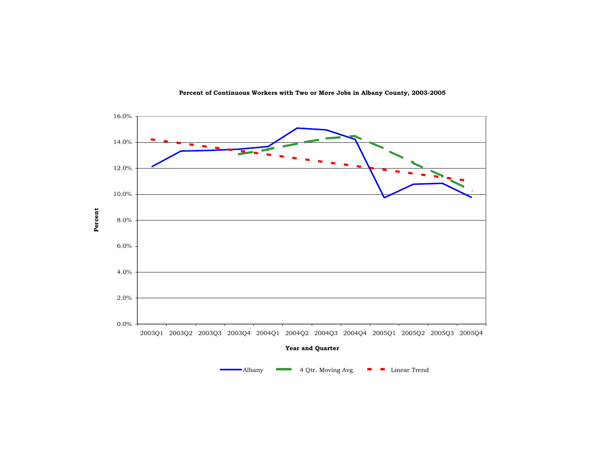

**Percent of Continuous Workers with Two or More Jobs in Albany County, 2003-2005**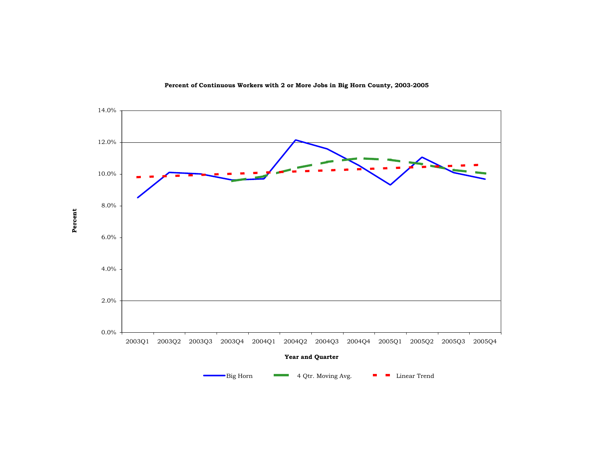

**Percent of Continuous Workers with 2 or More Jobs in Big Horn County, 2003-2005**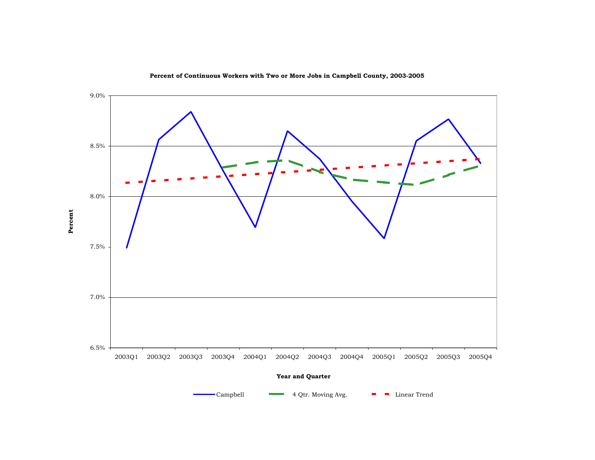

**Percent of Continuous Workers with Two or More Jobs in Campbell County, 2003-2005**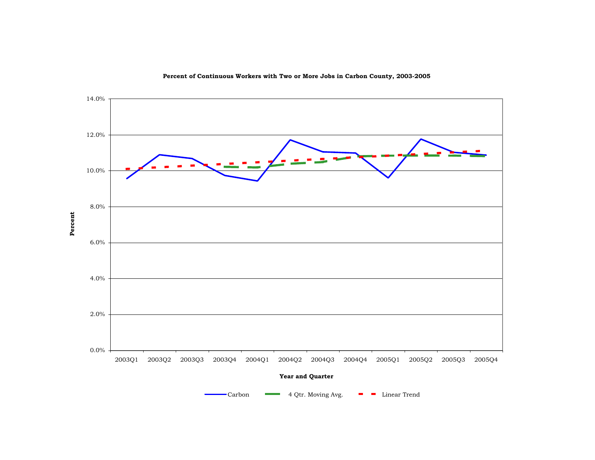

**Percent of Continuous Workers with Two or More Jobs in Carbon County, 2003-2005**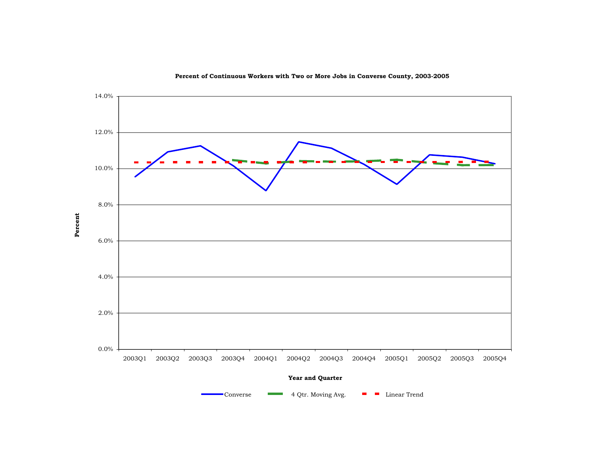

**Percent of Continuous Workers with Two or More Jobs in Converse County, 2003-2005**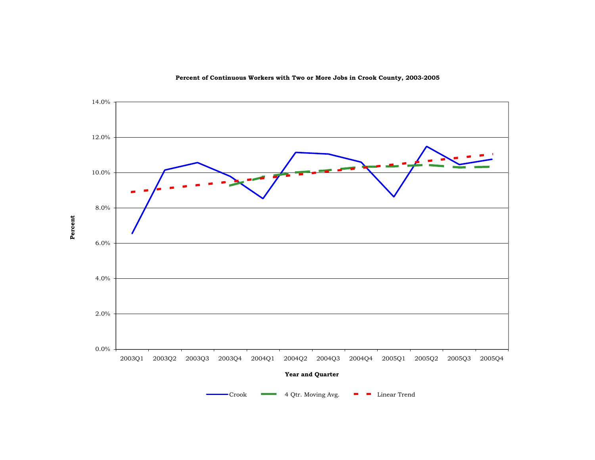

**Percent of Continuous Workers with Two or More Jobs in Crook County, 2003-2005**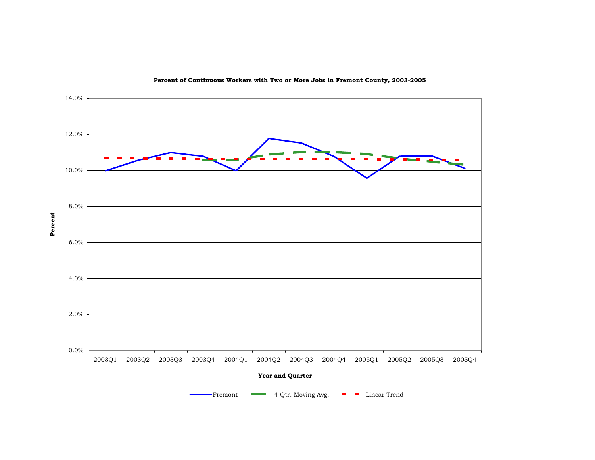

**Percent of Continuous Workers with Two or More Jobs in Fremont County, 2003-2005**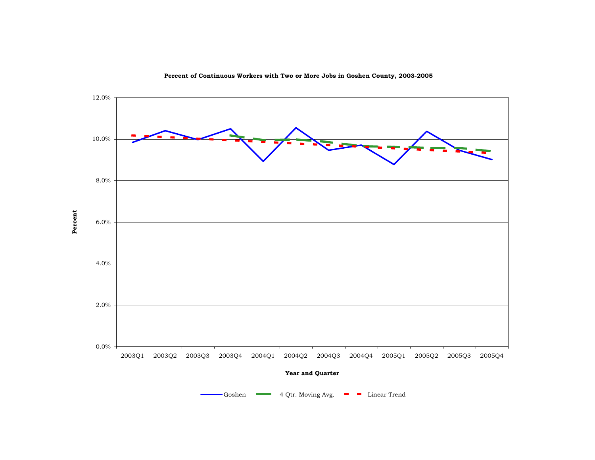

**Percent of Continuous Workers with Two or More Jobs in Goshen County, 2003-2005**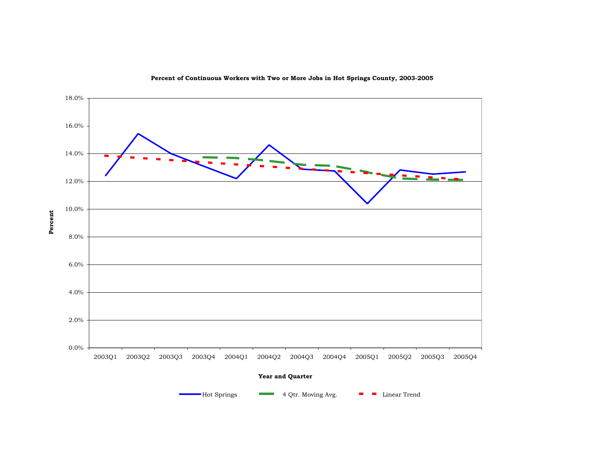

**Percent of Continuous Workers with Two or More Jobs in Hot Springs County, 2003-2005**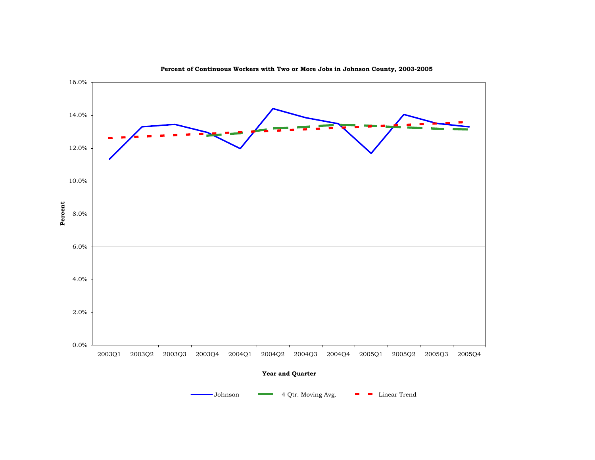

**Percent of Continuous Workers with Two or More Jobs in Johnson County, 2003-2005**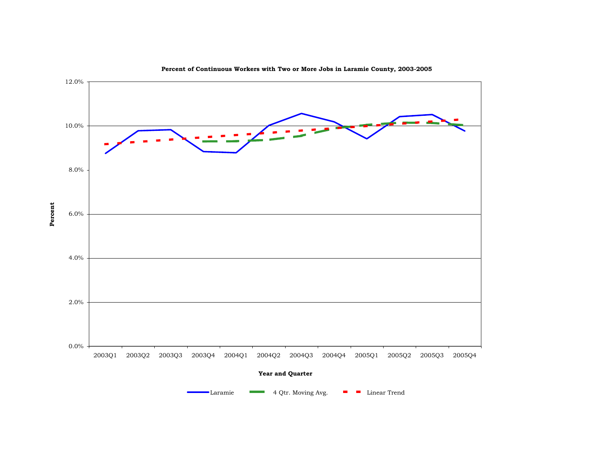

**Percent of Continuous Workers with Two or More Jobs in Laramie County, 2003-2005**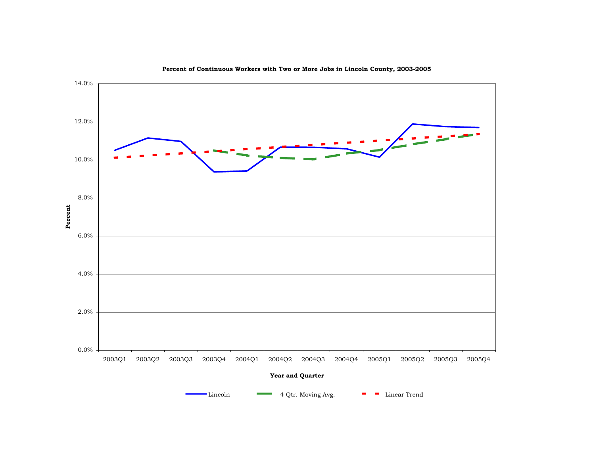

**Percent of Continuous Workers with Two or More Jobs in Lincoln County, 2003-2005**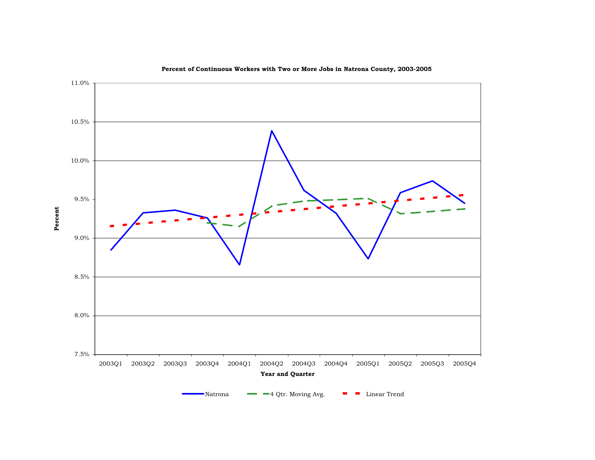

**Percent of Continuous Workers with Two or More Jobs in Natrona County, 2003-2005**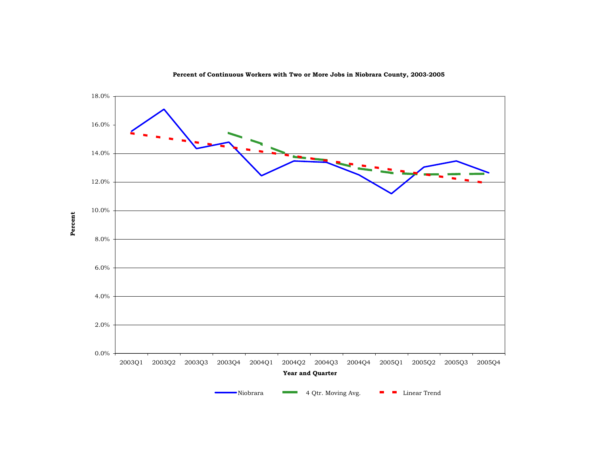

**Percent of Continuous Workers with Two or More Jobs in Niobrara County, 2003-2005**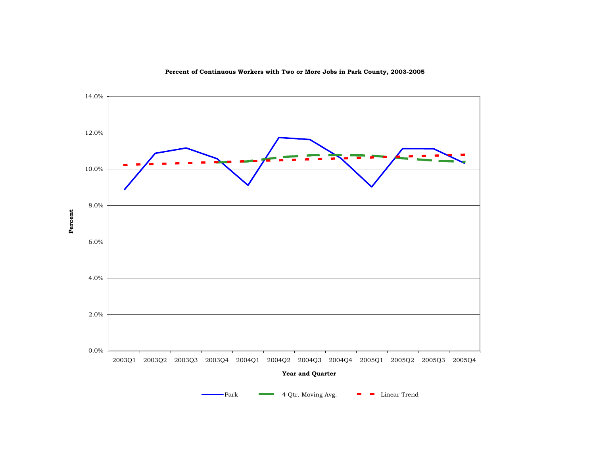

**Percent of Continuous Workers with Two or More Jobs in Park County, 2003-2005**

4 Qtr. Moving Avg.  $\blacksquare$  Linear Trend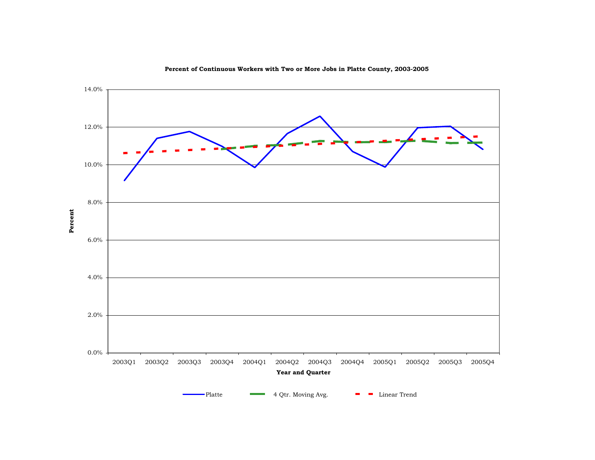

**Percent of Continuous Workers with Two or More Jobs in Platte County, 2003-2005**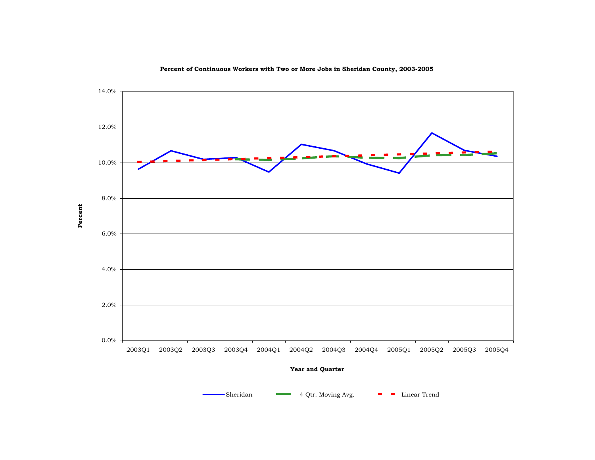

**Percent of Continuous Workers with Two or More Jobs in Sheridan County, 2003-2005**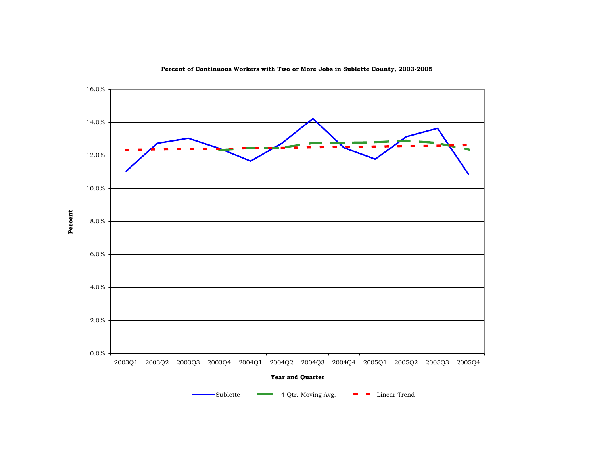

**Percent of Continuous Workers with Two or More Jobs in Sublette County, 2003-2005**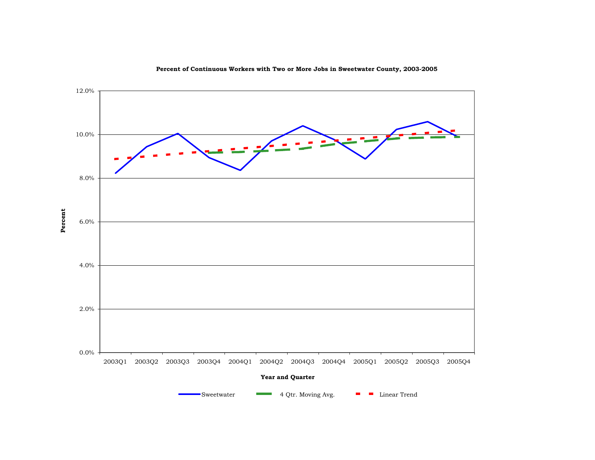

**Percent of Continuous Workers with Two or More Jobs in Sweetwater County, 2003-2005**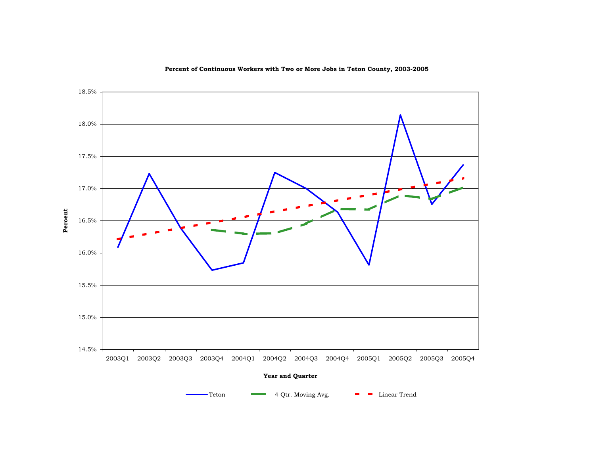

**Percent of Continuous Workers with Two or More Jobs in Teton County, 2003-2005**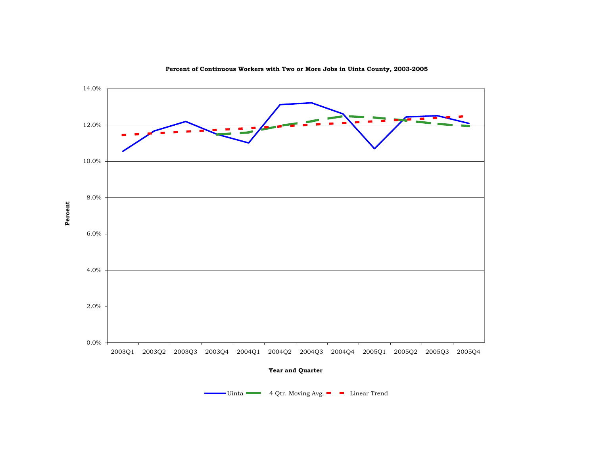

**Percent of Continuous Workers with Two or More Jobs in Uinta County, 2003-2005**

Uinta **4 Qtr. Moving Avg. Linear Trend**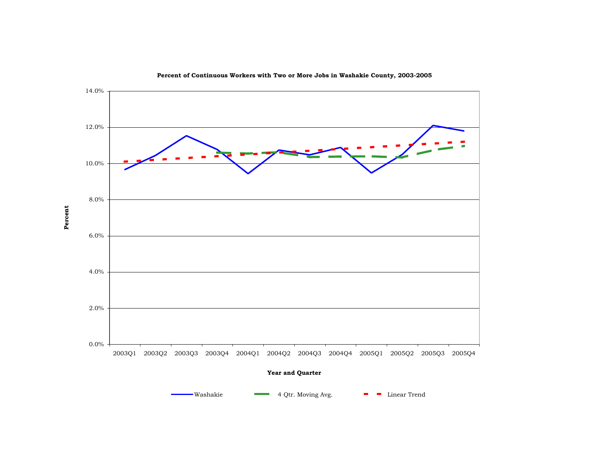

**Percent of Continuous Workers with Two or More Jobs in Washakie County, 2003-2005**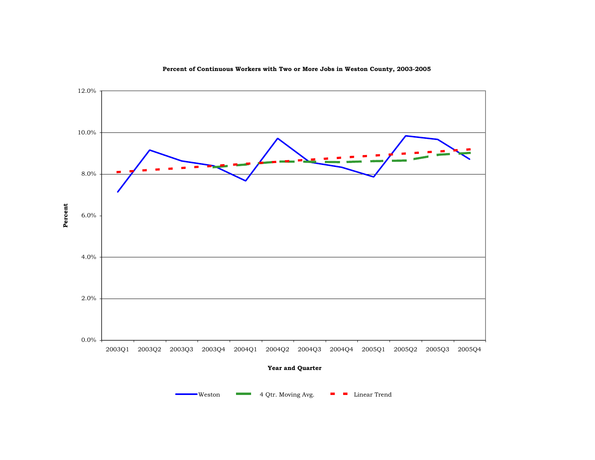

**Percent of Continuous Workers with Two or More Jobs in Weston County, 2003-2005**